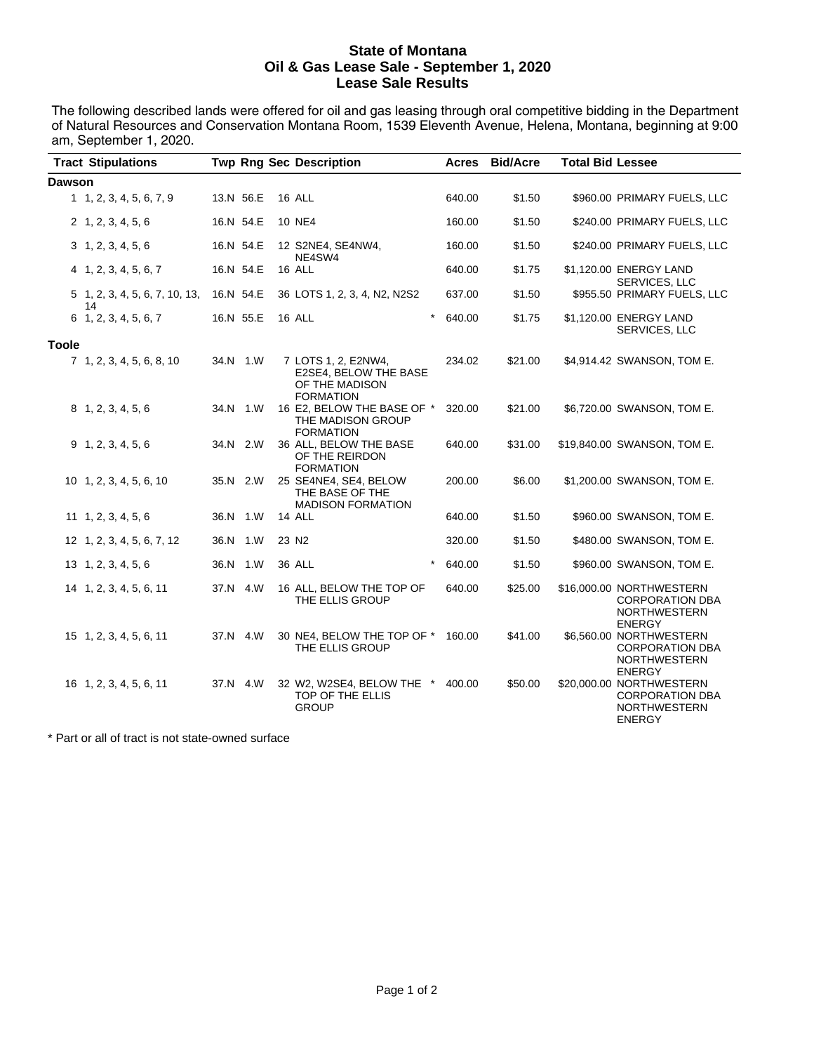#### **State of Montana Oil & Gas Lease Sale - September 1, 2020 Lease Sale Results**

The following described lands were offered for oil and gas leasing through oral competitive bidding in the Department of Natural Resources and Conservation Montana Room, 1539 Eleventh Avenue, Helena, Montana, beginning at 9:00 am, September 1, 2020.  $\overline{\phantom{a}}$ 

|               | <b>Tract Stipulations</b>                |           | <b>Twp Rng Sec Description</b>                                                     | <b>Acres</b> | <b>Bid/Acre</b> | <b>Total Bid Lessee</b> |                                                                                            |
|---------------|------------------------------------------|-----------|------------------------------------------------------------------------------------|--------------|-----------------|-------------------------|--------------------------------------------------------------------------------------------|
| <b>Dawson</b> |                                          |           |                                                                                    |              |                 |                         |                                                                                            |
|               | 1, 1, 2, 3, 4, 5, 6, 7, 9                | 13.N 56.E | 16 ALL                                                                             | 640.00       | \$1.50          |                         | \$960.00 PRIMARY FUELS, LLC                                                                |
|               | 2 1, 2, 3, 4, 5, 6                       | 16.N 54.E | <b>10 NE4</b>                                                                      | 160.00       | \$1.50          |                         | \$240.00 PRIMARY FUELS, LLC                                                                |
|               | 3, 1, 2, 3, 4, 5, 6                      | 16.N 54.E | 12 S2NE4, SE4NW4,                                                                  | 160.00       | \$1.50          |                         | \$240.00 PRIMARY FUELS, LLC                                                                |
|               | $4$ 1, 2, 3, 4, 5, 6, 7                  | 16.N 54.E | NE4SW4<br>16 ALL                                                                   | 640.00       | \$1.75          |                         | \$1,120.00 ENERGY LAND                                                                     |
|               | 5 1, 2, 3, 4, 5, 6, 7, 10, 13, 16.N 54.E |           | 36 LOTS 1, 2, 3, 4, N2, N2S2                                                       | 637.00       | \$1.50          |                         | SERVICES, LLC<br>\$955.50 PRIMARY FUELS, LLC                                               |
|               | 14<br>6 1, 2, 3, 4, 5, 6, 7              | 16.N 55.E | 16 ALL<br>$\star$                                                                  | 640.00       | \$1.75          |                         | \$1,120.00 ENERGY LAND<br>SERVICES, LLC                                                    |
| <b>Toole</b>  |                                          |           |                                                                                    |              |                 |                         |                                                                                            |
|               | 7 1, 2, 3, 4, 5, 6, 8, 10                | 34.N 1.W  | 7 LOTS 1, 2, E2NW4,<br>E2SE4, BELOW THE BASE<br>OF THE MADISON<br><b>FORMATION</b> | 234.02       | \$21.00         |                         | \$4,914.42 SWANSON, TOM E.                                                                 |
|               | 8 1, 2, 3, 4, 5, 6                       | 34.N 1.W  | 16 E2, BELOW THE BASE OF *<br>THE MADISON GROUP<br><b>FORMATION</b>                | 320.00       | \$21.00         |                         | \$6,720.00 SWANSON, TOM E.                                                                 |
|               | 9, 1, 2, 3, 4, 5, 6                      | 34.N 2.W  | 36 ALL, BELOW THE BASE<br>OF THE REIRDON<br><b>FORMATION</b>                       | 640.00       | \$31.00         |                         | \$19,840.00 SWANSON, TOM E.                                                                |
|               | 10 1, 2, 3, 4, 5, 6, 10                  | 35.N 2.W  | 25 SE4NE4, SE4, BELOW<br>THE BASE OF THE<br><b>MADISON FORMATION</b>               | 200.00       | \$6.00          |                         | \$1,200.00 SWANSON, TOM E.                                                                 |
|               | 11 1, 2, 3, 4, 5, 6                      | 36.N 1.W  | 14 ALL                                                                             | 640.00       | \$1.50          |                         | \$960.00 SWANSON, TOM E.                                                                   |
|               | 12 1, 2, 3, 4, 5, 6, 7, 12               | 36.N 1.W  | 23 N <sub>2</sub>                                                                  | 320.00       | \$1.50          |                         | \$480.00 SWANSON, TOM E.                                                                   |
|               | 13 1, 2, 3, 4, 5, 6                      | 36.N 1.W  | 36 ALL                                                                             | 640.00       | \$1.50          |                         | \$960.00 SWANSON, TOM E.                                                                   |
|               | 14 1, 2, 3, 4, 5, 6, 11                  | 37.N 4.W  | 16 ALL, BELOW THE TOP OF<br>THE ELLIS GROUP                                        | 640.00       | \$25.00         |                         | \$16,000.00 NORTHWESTERN<br><b>CORPORATION DBA</b><br><b>NORTHWESTERN</b><br><b>ENERGY</b> |
|               | 15 1, 2, 3, 4, 5, 6, 11                  | 37.N 4.W  | 30 NE4, BELOW THE TOP OF *<br>THE ELLIS GROUP                                      | 160.00       | \$41.00         |                         | \$6,560.00 NORTHWESTERN<br><b>CORPORATION DBA</b><br><b>NORTHWESTERN</b><br><b>ENERGY</b>  |
|               | 16 1, 2, 3, 4, 5, 6, 11                  | 37.N 4.W  | 32 W2, W2SE4, BELOW THE *<br>TOP OF THE ELLIS<br><b>GROUP</b>                      | 400.00       | \$50.00         |                         | \$20,000.00 NORTHWESTERN<br><b>CORPORATION DBA</b><br><b>NORTHWESTERN</b><br><b>ENERGY</b> |

\* Part or all of tract is not state-owned surface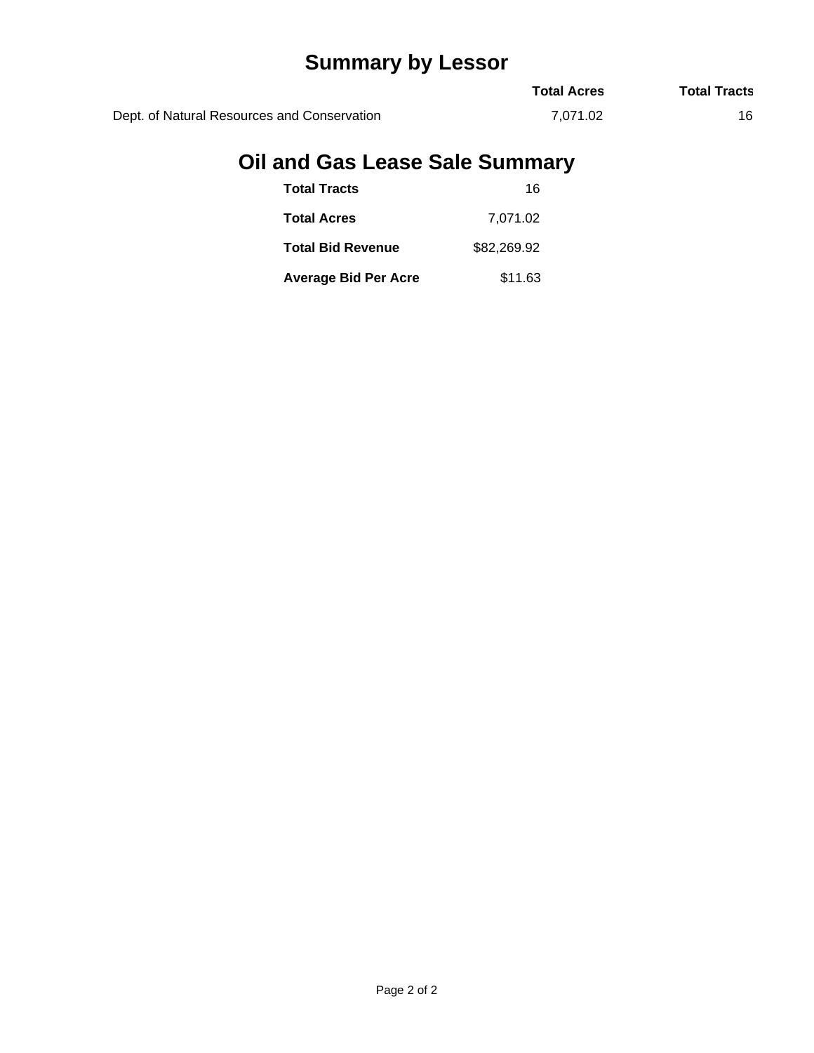# **Summary by Lessor**

|                                             | <b>Total Acres</b> | <b>Total Tracts</b> |
|---------------------------------------------|--------------------|---------------------|
| Dept. of Natural Resources and Conservation | 7.071.02           |                     |

# **Oil and Gas Lease Sale Summary**

| <b>Total Tracts</b>         | 16          |
|-----------------------------|-------------|
| <b>Total Acres</b>          | 7,071.02    |
| <b>Total Bid Revenue</b>    | \$82,269.92 |
| <b>Average Bid Per Acre</b> | \$11.63     |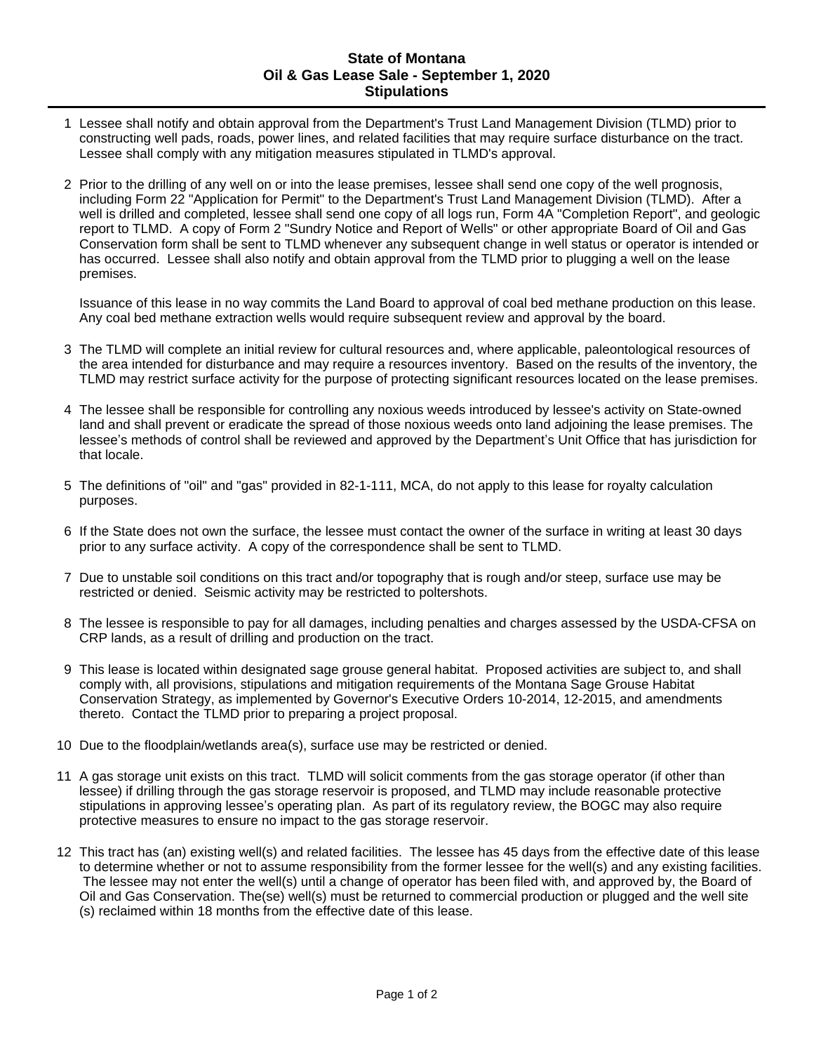### **State of Montana Oil & Gas Lease Sale - September 1, 2020 Stipulations**

- 1 Lessee shall notify and obtain approval from the Department's Trust Land Management Division (TLMD) prior to constructing well pads, roads, power lines, and related facilities that may require surface disturbance on the tract. Lessee shall comply with any mitigation measures stipulated in TLMD's approval.
- 2 Prior to the drilling of any well on or into the lease premises, lessee shall send one copy of the well prognosis, including Form 22 "Application for Permit" to the Department's Trust Land Management Division (TLMD). After a well is drilled and completed, lessee shall send one copy of all logs run, Form 4A "Completion Report", and geologic report to TLMD. A copy of Form 2 "Sundry Notice and Report of Wells" or other appropriate Board of Oil and Gas Conservation form shall be sent to TLMD whenever any subsequent change in well status or operator is intended or has occurred. Lessee shall also notify and obtain approval from the TLMD prior to plugging a well on the lease premises.

Issuance of this lease in no way commits the Land Board to approval of coal bed methane production on this lease. Any coal bed methane extraction wells would require subsequent review and approval by the board.

- 3 The TLMD will complete an initial review for cultural resources and, where applicable, paleontological resources of the area intended for disturbance and may require a resources inventory. Based on the results of the inventory, the TLMD may restrict surface activity for the purpose of protecting significant resources located on the lease premises.
- 4 The lessee shall be responsible for controlling any noxious weeds introduced by lessee's activity on State-owned land and shall prevent or eradicate the spread of those noxious weeds onto land adjoining the lease premises. The lessee's methods of control shall be reviewed and approved by the Department's Unit Office that has jurisdiction for that locale.
- 5 The definitions of "oil" and "gas" provided in 82-1-111, MCA, do not apply to this lease for royalty calculation purposes.
- 6 If the State does not own the surface, the lessee must contact the owner of the surface in writing at least 30 days prior to any surface activity. A copy of the correspondence shall be sent to TLMD.
- 7 Due to unstable soil conditions on this tract and/or topography that is rough and/or steep, surface use may be restricted or denied. Seismic activity may be restricted to poltershots.
- 8 The lessee is responsible to pay for all damages, including penalties and charges assessed by the USDA-CFSA on CRP lands, as a result of drilling and production on the tract.
- 9 This lease is located within designated sage grouse general habitat. Proposed activities are subject to, and shall comply with, all provisions, stipulations and mitigation requirements of the Montana Sage Grouse Habitat Conservation Strategy, as implemented by Governor's Executive Orders 10-2014, 12-2015, and amendments thereto. Contact the TLMD prior to preparing a project proposal.
- 10 Due to the floodplain/wetlands area(s), surface use may be restricted or denied.
- 11 A gas storage unit exists on this tract. TLMD will solicit comments from the gas storage operator (if other than lessee) if drilling through the gas storage reservoir is proposed, and TLMD may include reasonable protective stipulations in approving lessee's operating plan. As part of its regulatory review, the BOGC may also require protective measures to ensure no impact to the gas storage reservoir.
- 12 This tract has (an) existing well(s) and related facilities. The lessee has 45 days from the effective date of this lease to determine whether or not to assume responsibility from the former lessee for the well(s) and any existing facilities. The lessee may not enter the well(s) until a change of operator has been filed with, and approved by, the Board of Oil and Gas Conservation. The(se) well(s) must be returned to commercial production or plugged and the well site (s) reclaimed within 18 months from the effective date of this lease.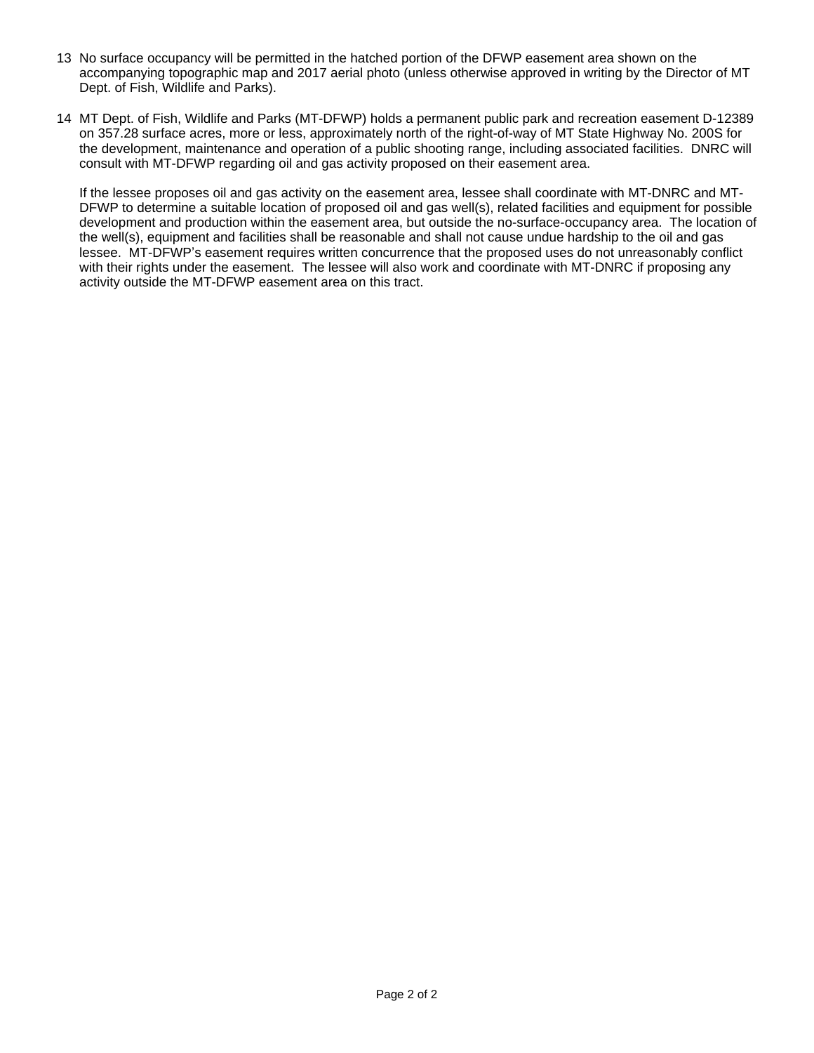- 13 No surface occupancy will be permitted in the hatched portion of the DFWP easement area shown on the accompanying topographic map and 2017 aerial photo (unless otherwise approved in writing by the Director of MT Dept. of Fish, Wildlife and Parks).
- 14 MT Dept. of Fish, Wildlife and Parks (MT-DFWP) holds a permanent public park and recreation easement D-12389 on 357.28 surface acres, more or less, approximately north of the right-of-way of MT State Highway No. 200S for the development, maintenance and operation of a public shooting range, including associated facilities. DNRC will consult with MT-DFWP regarding oil and gas activity proposed on their easement area.

If the lessee proposes oil and gas activity on the easement area, lessee shall coordinate with MT-DNRC and MT-DFWP to determine a suitable location of proposed oil and gas well(s), related facilities and equipment for possible development and production within the easement area, but outside the no-surface-occupancy area. The location of the well(s), equipment and facilities shall be reasonable and shall not cause undue hardship to the oil and gas lessee. MT-DFWP's easement requires written concurrence that the proposed uses do not unreasonably conflict with their rights under the easement. The lessee will also work and coordinate with MT-DNRC if proposing any activity outside the MT-DFWP easement area on this tract.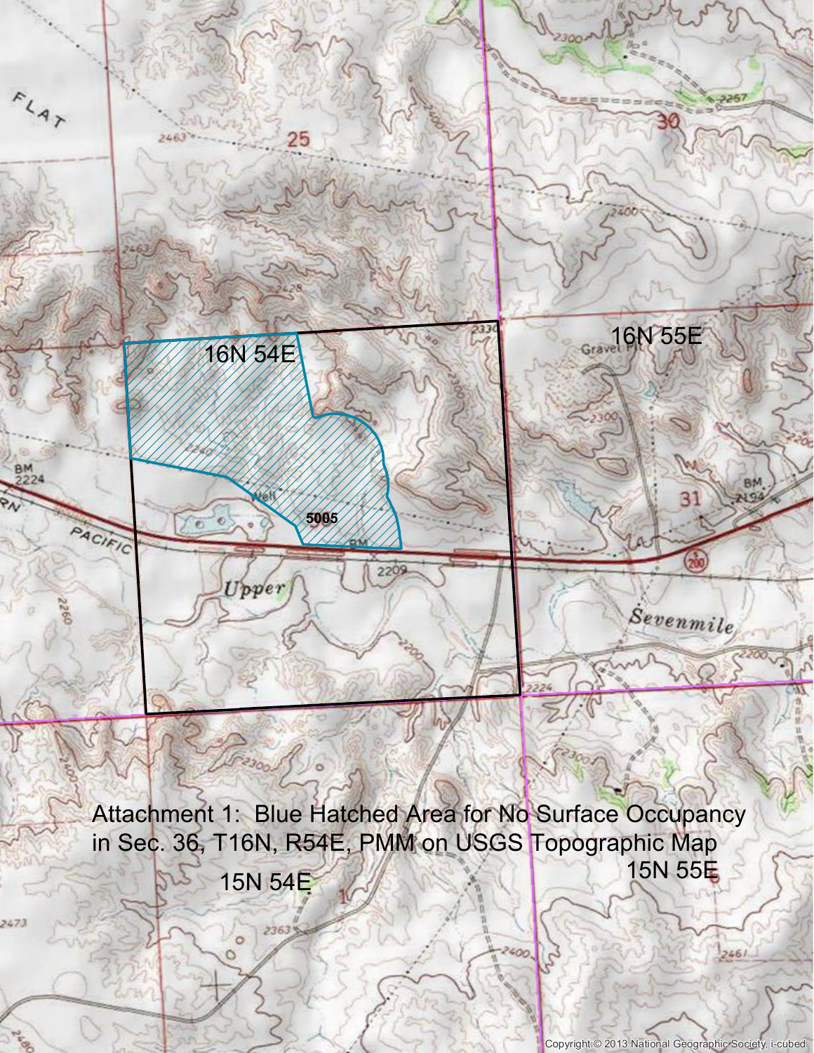

Copyright:© 2013 National Geographic Society, i-cubed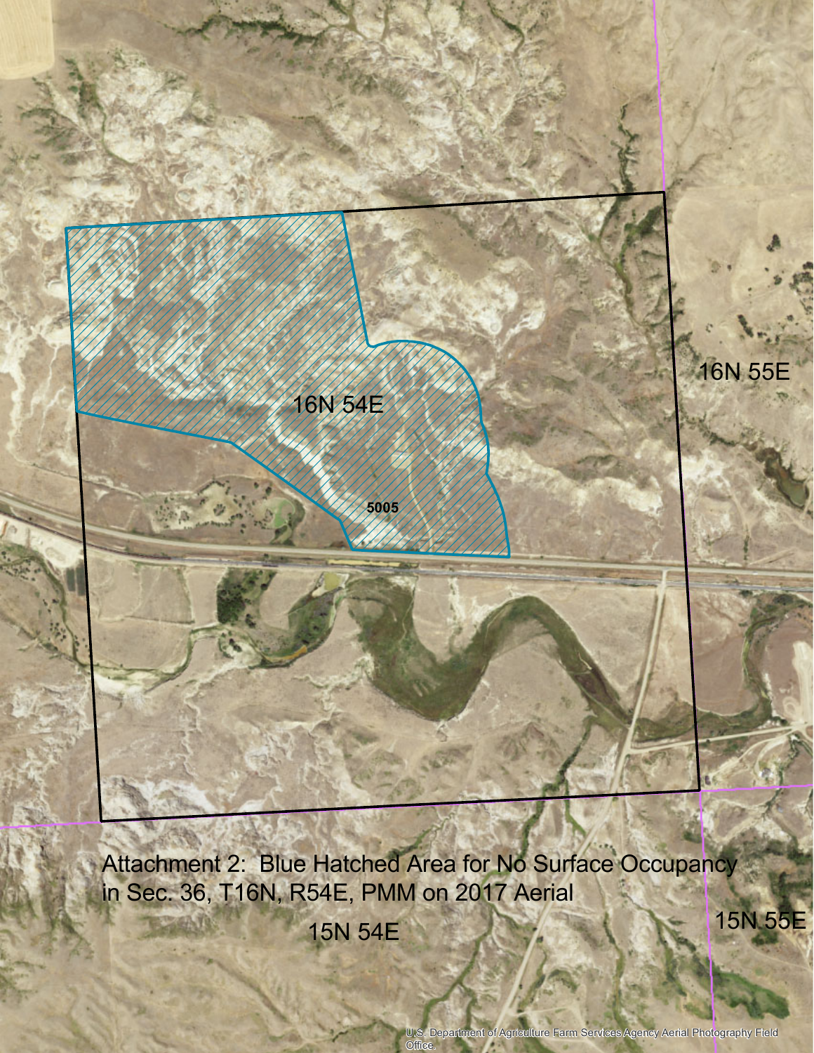

Attachment 2: Blue Hatched Area for No Surface Occupancy in Sec. 36, T16N, R54E, PMM on 2017 Aerial

Office.

15N 54E

15N 55E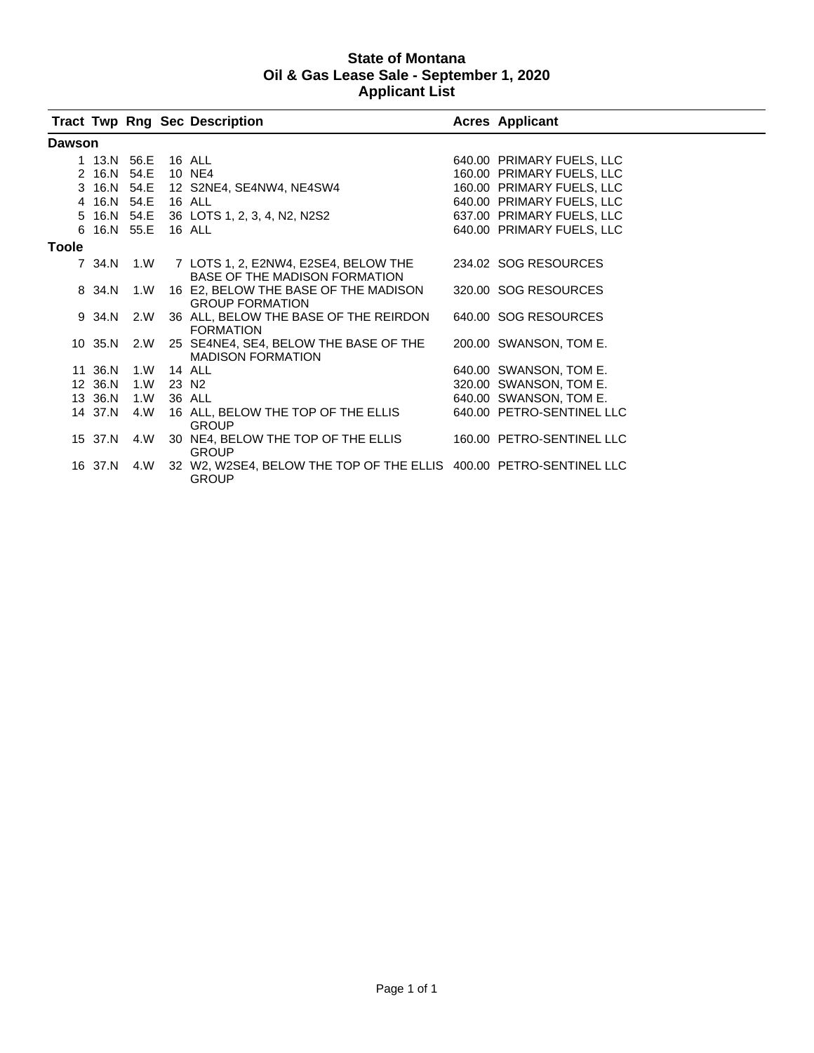## **State of Montana Oil & Gas Lease Sale - September 1, 2020 Applicant List**

|               |                    |     |           | <b>Tract Twp Rng Sec Description</b>                                                    | <b>Acres Applicant</b>    |
|---------------|--------------------|-----|-----------|-----------------------------------------------------------------------------------------|---------------------------|
| <b>Dawson</b> |                    |     |           |                                                                                         |                           |
|               | 1 13.N 56.E 16 ALL |     |           |                                                                                         | 640.00 PRIMARY FUELS, LLC |
|               | 2 16.N 54.E        |     |           | 10 NE4                                                                                  | 160.00 PRIMARY FUELS, LLC |
|               |                    |     |           | 3 16.N 54.E 12 S2NE4, SE4NW4, NE4SW4                                                    | 160.00 PRIMARY FUELS, LLC |
|               | 4 16.N 54.E 16 ALL |     |           |                                                                                         | 640.00 PRIMARY FUELS, LLC |
|               |                    |     |           | 5 16.N 54.E 36 LOTS 1, 2, 3, 4, N2, N2S2                                                | 637.00 PRIMARY FUELS, LLC |
|               | 6 16.N 55.E 16 ALL |     |           |                                                                                         | 640.00 PRIMARY FUELS, LLC |
| <b>Toole</b>  |                    |     |           |                                                                                         |                           |
|               |                    |     |           | 7 34.N 1.W 7 LOTS 1, 2, E2NW4, E2SE4, BELOW THE<br><b>BASE OF THE MADISON FORMATION</b> | 234.02 SOG RESOURCES      |
|               | 8 34.N             | 1.W |           | 16 E2, BELOW THE BASE OF THE MADISON<br><b>GROUP FORMATION</b>                          | 320.00 SOG RESOURCES      |
|               | 9 34.N             | 2.W |           | 36 ALL, BELOW THE BASE OF THE REIRDON<br><b>FORMATION</b>                               | 640.00 SOG RESOURCES      |
|               | 10 35.N 2.W        |     |           | 25 SE4NE4, SE4, BELOW THE BASE OF THE<br><b>MADISON FORMATION</b>                       | 200.00 SWANSON, TOM E.    |
|               | 11 36.N            | 1.W | 14 ALL    |                                                                                         | 640.00 SWANSON, TOM E.    |
|               | 12 36.N            |     | 1.W 23 N2 |                                                                                         | 320.00 SWANSON, TOM E.    |
|               | 13 36.N            | 1.W |           | 36 ALL                                                                                  | 640.00 SWANSON, TOM E.    |
|               | 14 37.N            | 4.W |           | 16 ALL, BELOW THE TOP OF THE ELLIS<br><b>GROUP</b>                                      | 640.00 PETRO-SENTINEL LLC |
|               | 15 37.N 4.W        |     |           | 30 NE4, BELOW THE TOP OF THE ELLIS<br><b>GROUP</b>                                      | 160.00 PETRO-SENTINEL LLC |
|               | 16 37.N 4.W        |     |           | 32 W2, W2SE4, BELOW THE TOP OF THE ELLIS 400.00 PETRO-SENTINEL LLC<br><b>GROUP</b>      |                           |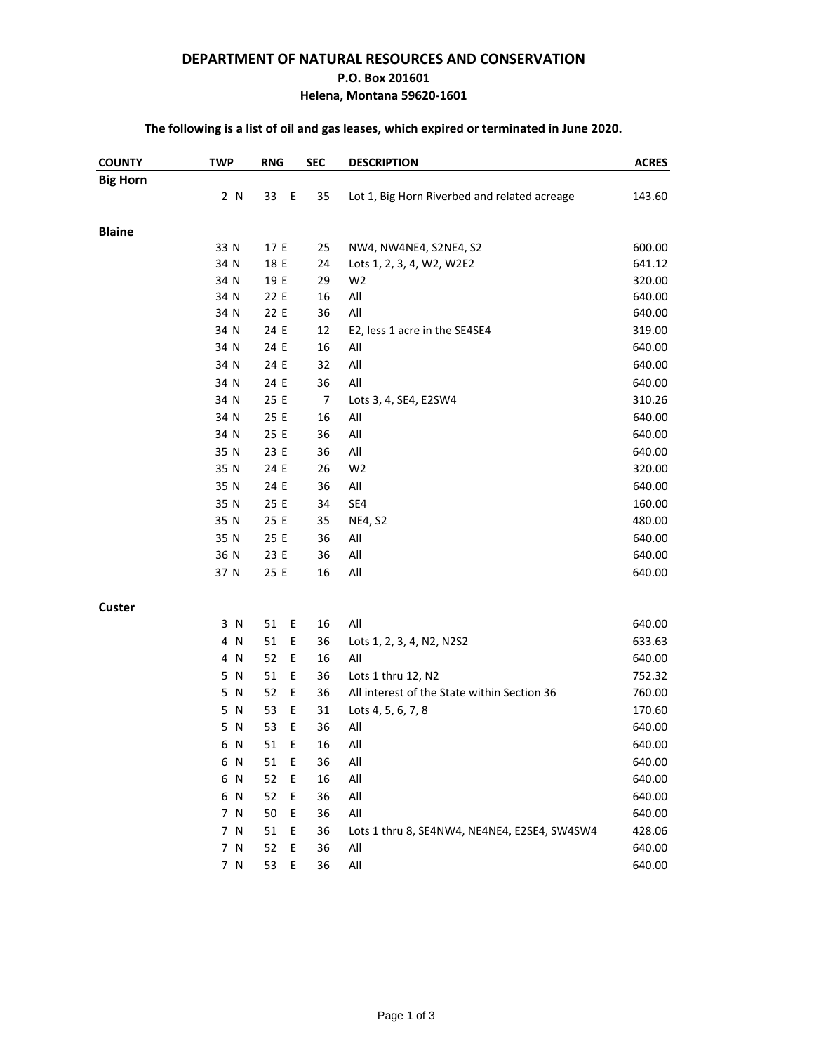### **DEPARTMENT OF NATURAL RESOURCES AND CONSERVATION**

#### **P.O. Box 201601**

### **Helena, Montana 59620-1601**

## **The following is a list of oil and gas leases, which expired or terminated in June 2020.**

| <b>Big Horn</b><br>2 N<br>Ε<br>Lot 1, Big Horn Riverbed and related acreage<br>33<br>35<br>143.60<br><b>Blaine</b><br>33 N<br>17 E<br>25<br>NW4, NW4NE4, S2NE4, S2<br>600.00<br>34 N<br>18 E<br>24<br>Lots 1, 2, 3, 4, W2, W2E2<br>641.12<br>34 N<br>29<br>W <sub>2</sub><br>19 E<br>320.00<br>All<br>34 N<br>22 E<br>16<br>640.00<br>All<br>34 N<br>36<br>22 E<br>640.00<br>34 N<br>24 E<br>12<br>E2, less 1 acre in the SE4SE4<br>319.00<br>34 N<br>24 E<br>16<br>All<br>640.00<br>34 N<br>24 E<br>All<br>32<br>640.00<br>36<br>All<br>34 N<br>24 E<br>640.00<br>34 N<br>25 E<br>7<br>Lots 3, 4, SE4, E2SW4<br>310.26<br>34 N<br>16<br>All<br>25 E<br>640.00<br>All<br>34 N<br>25 E<br>36<br>640.00<br>35 N<br>23 E<br>36<br>All<br>640.00<br>35 N<br>24 E<br>26<br>W <sub>2</sub><br>320.00<br>35 N<br>24 E<br>36<br>All<br>640.00<br>35 N<br>25 E<br>SE4<br>34<br>160.00<br>35 N<br>25 E<br>35<br>NE4, S2<br>480.00<br>35 N<br>All<br>640.00<br>25 E<br>36<br>36 N<br>23 E<br>36<br>All<br>640.00<br>16<br>All<br>37 N<br>25 E<br>640.00<br><b>Custer</b><br>16<br>All<br>3 N<br>51<br>Ε<br>640.00<br>4 N<br>51<br>Ε<br>36<br>Lots 1, 2, 3, 4, N2, N2S2<br>633.63<br>All<br>4 N<br>52<br>Ε<br>16<br>640.00<br>5 N<br>51<br>Ε<br>Lots 1 thru 12, N2<br>36<br>752.32<br>5 N<br>52<br>Ε<br>36<br>All interest of the State within Section 36<br>760.00<br>5 N<br>53<br>Ε<br>31<br>Lots 4, 5, 6, 7, 8<br>170.60<br>5 N<br>53<br>Ε<br>36<br>All<br>640.00<br>All<br>51<br>E<br>16<br>6 N<br>640.00<br>6 N<br>51<br>Ε<br>36<br>All<br>640.00<br>52<br>E<br>All<br>640.00<br>6 N<br>16<br>52<br>All<br>6 N<br>Ε<br>36<br>640.00<br>All<br>7 N<br>50<br>36<br>Ε<br>640.00<br>7 N<br>51<br>Ε<br>36<br>Lots 1 thru 8, SE4NW4, NE4NE4, E2SE4, SW4SW4<br>428.06<br>All<br>7 N<br>52<br>Ε<br>36<br>640.00<br>7 N<br>Ε<br>36<br>$\mathsf{All}$<br>53<br>640.00 | <b>COUNTY</b> | <b>TWP</b> | <b>RNG</b> | <b>SEC</b> | <b>DESCRIPTION</b> | <b>ACRES</b> |
|------------------------------------------------------------------------------------------------------------------------------------------------------------------------------------------------------------------------------------------------------------------------------------------------------------------------------------------------------------------------------------------------------------------------------------------------------------------------------------------------------------------------------------------------------------------------------------------------------------------------------------------------------------------------------------------------------------------------------------------------------------------------------------------------------------------------------------------------------------------------------------------------------------------------------------------------------------------------------------------------------------------------------------------------------------------------------------------------------------------------------------------------------------------------------------------------------------------------------------------------------------------------------------------------------------------------------------------------------------------------------------------------------------------------------------------------------------------------------------------------------------------------------------------------------------------------------------------------------------------------------------------------------------------------------------------------------------------------------------------------------------------------------------------------------------------------------------------------------|---------------|------------|------------|------------|--------------------|--------------|
|                                                                                                                                                                                                                                                                                                                                                                                                                                                                                                                                                                                                                                                                                                                                                                                                                                                                                                                                                                                                                                                                                                                                                                                                                                                                                                                                                                                                                                                                                                                                                                                                                                                                                                                                                                                                                                                      |               |            |            |            |                    |              |
|                                                                                                                                                                                                                                                                                                                                                                                                                                                                                                                                                                                                                                                                                                                                                                                                                                                                                                                                                                                                                                                                                                                                                                                                                                                                                                                                                                                                                                                                                                                                                                                                                                                                                                                                                                                                                                                      |               |            |            |            |                    |              |
|                                                                                                                                                                                                                                                                                                                                                                                                                                                                                                                                                                                                                                                                                                                                                                                                                                                                                                                                                                                                                                                                                                                                                                                                                                                                                                                                                                                                                                                                                                                                                                                                                                                                                                                                                                                                                                                      |               |            |            |            |                    |              |
|                                                                                                                                                                                                                                                                                                                                                                                                                                                                                                                                                                                                                                                                                                                                                                                                                                                                                                                                                                                                                                                                                                                                                                                                                                                                                                                                                                                                                                                                                                                                                                                                                                                                                                                                                                                                                                                      |               |            |            |            |                    |              |
|                                                                                                                                                                                                                                                                                                                                                                                                                                                                                                                                                                                                                                                                                                                                                                                                                                                                                                                                                                                                                                                                                                                                                                                                                                                                                                                                                                                                                                                                                                                                                                                                                                                                                                                                                                                                                                                      |               |            |            |            |                    |              |
|                                                                                                                                                                                                                                                                                                                                                                                                                                                                                                                                                                                                                                                                                                                                                                                                                                                                                                                                                                                                                                                                                                                                                                                                                                                                                                                                                                                                                                                                                                                                                                                                                                                                                                                                                                                                                                                      |               |            |            |            |                    |              |
|                                                                                                                                                                                                                                                                                                                                                                                                                                                                                                                                                                                                                                                                                                                                                                                                                                                                                                                                                                                                                                                                                                                                                                                                                                                                                                                                                                                                                                                                                                                                                                                                                                                                                                                                                                                                                                                      |               |            |            |            |                    |              |
|                                                                                                                                                                                                                                                                                                                                                                                                                                                                                                                                                                                                                                                                                                                                                                                                                                                                                                                                                                                                                                                                                                                                                                                                                                                                                                                                                                                                                                                                                                                                                                                                                                                                                                                                                                                                                                                      |               |            |            |            |                    |              |
|                                                                                                                                                                                                                                                                                                                                                                                                                                                                                                                                                                                                                                                                                                                                                                                                                                                                                                                                                                                                                                                                                                                                                                                                                                                                                                                                                                                                                                                                                                                                                                                                                                                                                                                                                                                                                                                      |               |            |            |            |                    |              |
|                                                                                                                                                                                                                                                                                                                                                                                                                                                                                                                                                                                                                                                                                                                                                                                                                                                                                                                                                                                                                                                                                                                                                                                                                                                                                                                                                                                                                                                                                                                                                                                                                                                                                                                                                                                                                                                      |               |            |            |            |                    |              |
|                                                                                                                                                                                                                                                                                                                                                                                                                                                                                                                                                                                                                                                                                                                                                                                                                                                                                                                                                                                                                                                                                                                                                                                                                                                                                                                                                                                                                                                                                                                                                                                                                                                                                                                                                                                                                                                      |               |            |            |            |                    |              |
|                                                                                                                                                                                                                                                                                                                                                                                                                                                                                                                                                                                                                                                                                                                                                                                                                                                                                                                                                                                                                                                                                                                                                                                                                                                                                                                                                                                                                                                                                                                                                                                                                                                                                                                                                                                                                                                      |               |            |            |            |                    |              |
|                                                                                                                                                                                                                                                                                                                                                                                                                                                                                                                                                                                                                                                                                                                                                                                                                                                                                                                                                                                                                                                                                                                                                                                                                                                                                                                                                                                                                                                                                                                                                                                                                                                                                                                                                                                                                                                      |               |            |            |            |                    |              |
|                                                                                                                                                                                                                                                                                                                                                                                                                                                                                                                                                                                                                                                                                                                                                                                                                                                                                                                                                                                                                                                                                                                                                                                                                                                                                                                                                                                                                                                                                                                                                                                                                                                                                                                                                                                                                                                      |               |            |            |            |                    |              |
|                                                                                                                                                                                                                                                                                                                                                                                                                                                                                                                                                                                                                                                                                                                                                                                                                                                                                                                                                                                                                                                                                                                                                                                                                                                                                                                                                                                                                                                                                                                                                                                                                                                                                                                                                                                                                                                      |               |            |            |            |                    |              |
|                                                                                                                                                                                                                                                                                                                                                                                                                                                                                                                                                                                                                                                                                                                                                                                                                                                                                                                                                                                                                                                                                                                                                                                                                                                                                                                                                                                                                                                                                                                                                                                                                                                                                                                                                                                                                                                      |               |            |            |            |                    |              |
|                                                                                                                                                                                                                                                                                                                                                                                                                                                                                                                                                                                                                                                                                                                                                                                                                                                                                                                                                                                                                                                                                                                                                                                                                                                                                                                                                                                                                                                                                                                                                                                                                                                                                                                                                                                                                                                      |               |            |            |            |                    |              |
|                                                                                                                                                                                                                                                                                                                                                                                                                                                                                                                                                                                                                                                                                                                                                                                                                                                                                                                                                                                                                                                                                                                                                                                                                                                                                                                                                                                                                                                                                                                                                                                                                                                                                                                                                                                                                                                      |               |            |            |            |                    |              |
|                                                                                                                                                                                                                                                                                                                                                                                                                                                                                                                                                                                                                                                                                                                                                                                                                                                                                                                                                                                                                                                                                                                                                                                                                                                                                                                                                                                                                                                                                                                                                                                                                                                                                                                                                                                                                                                      |               |            |            |            |                    |              |
|                                                                                                                                                                                                                                                                                                                                                                                                                                                                                                                                                                                                                                                                                                                                                                                                                                                                                                                                                                                                                                                                                                                                                                                                                                                                                                                                                                                                                                                                                                                                                                                                                                                                                                                                                                                                                                                      |               |            |            |            |                    |              |
|                                                                                                                                                                                                                                                                                                                                                                                                                                                                                                                                                                                                                                                                                                                                                                                                                                                                                                                                                                                                                                                                                                                                                                                                                                                                                                                                                                                                                                                                                                                                                                                                                                                                                                                                                                                                                                                      |               |            |            |            |                    |              |
|                                                                                                                                                                                                                                                                                                                                                                                                                                                                                                                                                                                                                                                                                                                                                                                                                                                                                                                                                                                                                                                                                                                                                                                                                                                                                                                                                                                                                                                                                                                                                                                                                                                                                                                                                                                                                                                      |               |            |            |            |                    |              |
|                                                                                                                                                                                                                                                                                                                                                                                                                                                                                                                                                                                                                                                                                                                                                                                                                                                                                                                                                                                                                                                                                                                                                                                                                                                                                                                                                                                                                                                                                                                                                                                                                                                                                                                                                                                                                                                      |               |            |            |            |                    |              |
|                                                                                                                                                                                                                                                                                                                                                                                                                                                                                                                                                                                                                                                                                                                                                                                                                                                                                                                                                                                                                                                                                                                                                                                                                                                                                                                                                                                                                                                                                                                                                                                                                                                                                                                                                                                                                                                      |               |            |            |            |                    |              |
|                                                                                                                                                                                                                                                                                                                                                                                                                                                                                                                                                                                                                                                                                                                                                                                                                                                                                                                                                                                                                                                                                                                                                                                                                                                                                                                                                                                                                                                                                                                                                                                                                                                                                                                                                                                                                                                      |               |            |            |            |                    |              |
|                                                                                                                                                                                                                                                                                                                                                                                                                                                                                                                                                                                                                                                                                                                                                                                                                                                                                                                                                                                                                                                                                                                                                                                                                                                                                                                                                                                                                                                                                                                                                                                                                                                                                                                                                                                                                                                      |               |            |            |            |                    |              |
|                                                                                                                                                                                                                                                                                                                                                                                                                                                                                                                                                                                                                                                                                                                                                                                                                                                                                                                                                                                                                                                                                                                                                                                                                                                                                                                                                                                                                                                                                                                                                                                                                                                                                                                                                                                                                                                      |               |            |            |            |                    |              |
|                                                                                                                                                                                                                                                                                                                                                                                                                                                                                                                                                                                                                                                                                                                                                                                                                                                                                                                                                                                                                                                                                                                                                                                                                                                                                                                                                                                                                                                                                                                                                                                                                                                                                                                                                                                                                                                      |               |            |            |            |                    |              |
|                                                                                                                                                                                                                                                                                                                                                                                                                                                                                                                                                                                                                                                                                                                                                                                                                                                                                                                                                                                                                                                                                                                                                                                                                                                                                                                                                                                                                                                                                                                                                                                                                                                                                                                                                                                                                                                      |               |            |            |            |                    |              |
|                                                                                                                                                                                                                                                                                                                                                                                                                                                                                                                                                                                                                                                                                                                                                                                                                                                                                                                                                                                                                                                                                                                                                                                                                                                                                                                                                                                                                                                                                                                                                                                                                                                                                                                                                                                                                                                      |               |            |            |            |                    |              |
|                                                                                                                                                                                                                                                                                                                                                                                                                                                                                                                                                                                                                                                                                                                                                                                                                                                                                                                                                                                                                                                                                                                                                                                                                                                                                                                                                                                                                                                                                                                                                                                                                                                                                                                                                                                                                                                      |               |            |            |            |                    |              |
|                                                                                                                                                                                                                                                                                                                                                                                                                                                                                                                                                                                                                                                                                                                                                                                                                                                                                                                                                                                                                                                                                                                                                                                                                                                                                                                                                                                                                                                                                                                                                                                                                                                                                                                                                                                                                                                      |               |            |            |            |                    |              |
|                                                                                                                                                                                                                                                                                                                                                                                                                                                                                                                                                                                                                                                                                                                                                                                                                                                                                                                                                                                                                                                                                                                                                                                                                                                                                                                                                                                                                                                                                                                                                                                                                                                                                                                                                                                                                                                      |               |            |            |            |                    |              |
|                                                                                                                                                                                                                                                                                                                                                                                                                                                                                                                                                                                                                                                                                                                                                                                                                                                                                                                                                                                                                                                                                                                                                                                                                                                                                                                                                                                                                                                                                                                                                                                                                                                                                                                                                                                                                                                      |               |            |            |            |                    |              |
|                                                                                                                                                                                                                                                                                                                                                                                                                                                                                                                                                                                                                                                                                                                                                                                                                                                                                                                                                                                                                                                                                                                                                                                                                                                                                                                                                                                                                                                                                                                                                                                                                                                                                                                                                                                                                                                      |               |            |            |            |                    |              |
|                                                                                                                                                                                                                                                                                                                                                                                                                                                                                                                                                                                                                                                                                                                                                                                                                                                                                                                                                                                                                                                                                                                                                                                                                                                                                                                                                                                                                                                                                                                                                                                                                                                                                                                                                                                                                                                      |               |            |            |            |                    |              |
|                                                                                                                                                                                                                                                                                                                                                                                                                                                                                                                                                                                                                                                                                                                                                                                                                                                                                                                                                                                                                                                                                                                                                                                                                                                                                                                                                                                                                                                                                                                                                                                                                                                                                                                                                                                                                                                      |               |            |            |            |                    |              |
|                                                                                                                                                                                                                                                                                                                                                                                                                                                                                                                                                                                                                                                                                                                                                                                                                                                                                                                                                                                                                                                                                                                                                                                                                                                                                                                                                                                                                                                                                                                                                                                                                                                                                                                                                                                                                                                      |               |            |            |            |                    |              |
|                                                                                                                                                                                                                                                                                                                                                                                                                                                                                                                                                                                                                                                                                                                                                                                                                                                                                                                                                                                                                                                                                                                                                                                                                                                                                                                                                                                                                                                                                                                                                                                                                                                                                                                                                                                                                                                      |               |            |            |            |                    |              |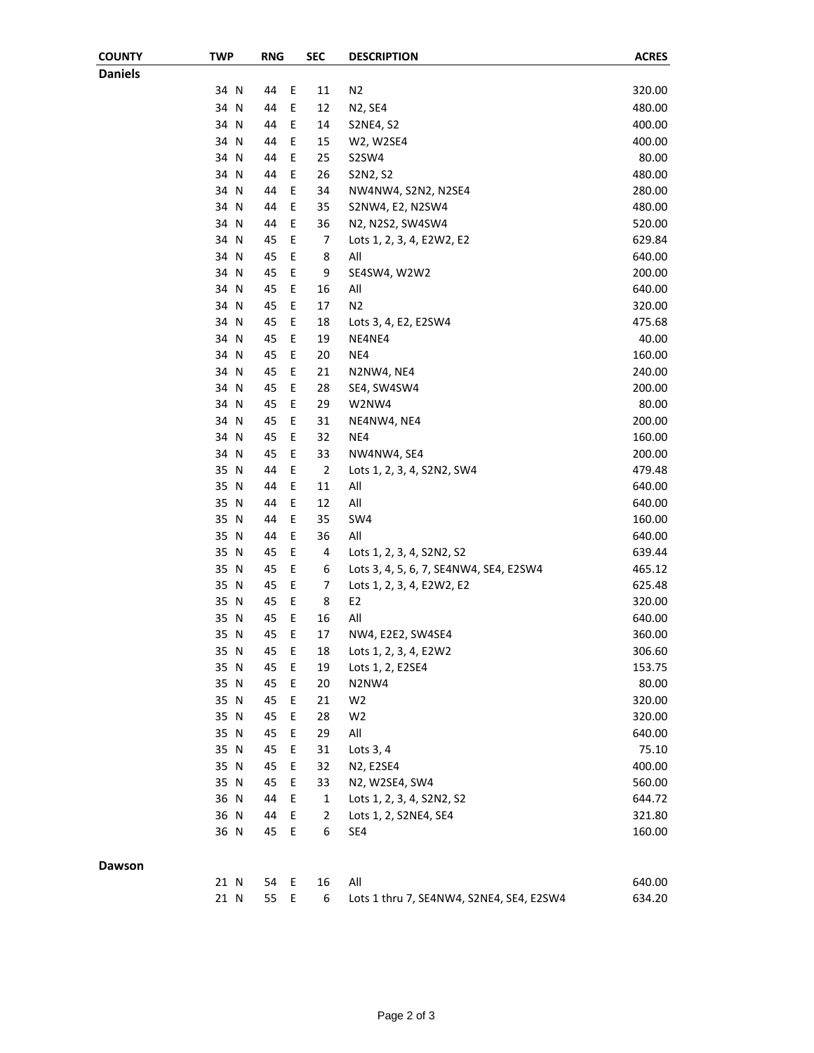| <b>Daniels</b><br>34 N<br>44<br>Ε<br>N <sub>2</sub><br>11<br>320.00<br>E<br>34 N<br>44<br>12<br>480.00<br>N2, SE4<br>E<br>34 N<br>400.00<br>44<br>14<br><b>S2NE4, S2</b><br>34 N<br>Ε<br>400.00<br>44<br>15<br>W2, W2SE4<br>34 N<br>44<br>Ε<br>25<br>80.00<br>S2SW4<br>34 N<br>44<br>Ε<br>26<br>480.00<br>S2N2, S2<br>E<br>44<br>280.00<br>34 N<br>34<br>NW4NW4, S2N2, N2SE4<br>E<br>480.00<br>34 N<br>44<br>35<br>S2NW4, E2, N2SW4<br>E<br>36<br>34 N<br>44<br>N2, N2S2, SW4SW4<br>520.00<br>E<br>34 N<br>$\overline{7}$<br>629.84<br>45<br>Lots 1, 2, 3, 4, E2W2, E2<br>E<br>34 N<br>45<br>8<br>All<br>640.00<br>E<br>9<br>34 N<br>200.00<br>45<br>SE4SW4, W2W2<br>Ε<br>34 N<br>45<br>16<br>All<br>640.00<br>Ε<br>34 N<br>45<br>17<br>N <sub>2</sub><br>320.00<br>Ε<br>34 N<br>45<br>475.68<br>18<br>Lots 3, 4, E2, E2SW4<br>E<br>34 N<br>45<br>19<br>40.00<br>NE4NE4<br>E<br>45<br>NE4<br>160.00<br>34 N<br>20<br>34 N<br>45<br>Ε<br>21<br>240.00<br>N2NW4, NE4<br>34 N<br>45<br>Ε<br>28<br>200.00<br>SE4, SW4SW4<br>34 N<br>45<br>Ε<br>29<br>80.00<br>W2NW4<br>200.00<br>34 N<br>45<br>Ε<br>31<br>NE4NW4, NE4<br>34 N<br>45<br>Ε<br>32<br>NE4<br>160.00<br>E<br>34 N<br>45<br>33<br>200.00<br>NW4NW4, SE4<br>E<br>35 N<br>44<br>$\overline{2}$<br>479.48<br>Lots 1, 2, 3, 4, S2N2, SW4<br>E<br>11<br>All<br>35 N<br>640.00<br>44<br>E<br>All<br>35 N<br>44<br>12<br>640.00<br>E<br>35 N<br>44<br>35<br>SW4<br>160.00<br>E<br>All<br>35 N<br>36<br>44<br>640.00<br>E<br>35 N<br>4<br>45<br>639.44<br>Lots 1, 2, 3, 4, S2N2, S2<br>Ε<br>35 N<br>45<br>6<br>465.12<br>Lots 3, 4, 5, 6, 7, SE4NW4, SE4, E2SW4<br>Ε<br>35 N<br>45<br>7<br>625.48<br>Lots 1, 2, 3, 4, E2W2, E2<br>E<br>35 N<br>45<br>8<br>E2<br>320.00<br>Ε<br>All<br>35 N<br>45<br>16<br>640.00<br>E<br>45<br>35 N<br>17<br>NW4, E2E2, SW4SE4<br>360.00<br>35 N<br>45<br>Ε<br>18<br>Lots 1, 2, 3, 4, E2W2<br>306.60<br>35 N<br>153.75<br>45<br>E<br>19<br>Lots 1, 2, E2SE4<br>80.00<br>35 N<br>45<br>Ε<br>20<br>N2NW4<br>35 N<br>45<br>Ε<br>21<br>W <sub>2</sub><br>320.00<br>35 N<br>45<br>Ε<br>28<br>W <sub>2</sub><br>320.00<br>$\mathsf E$<br>All<br>35 N<br>45<br>29<br>640.00<br>35 N<br>45<br>Ε<br>31<br>75.10<br>Lots $3, 4$<br>$\mathsf E$<br>35 N<br>45<br>32<br>400.00<br>N2, E2SE4<br>$\mathsf E$<br>35 N<br>45<br>33<br>560.00<br>N2, W2SE4, SW4<br>$\mathsf E$<br>36 N<br>44<br>$\mathbf{1}$<br>644.72<br>Lots 1, 2, 3, 4, S2N2, S2<br>$\mathsf E$<br>36 N<br>44<br>$\overline{2}$<br>321.80<br>Lots 1, 2, S2NE4, SE4<br>36 N<br>45<br>Ε<br>6<br>160.00<br>SE4<br>Dawson<br>All<br>640.00<br>21 N<br>54<br>E<br>16<br>6<br>Lots 1 thru 7, SE4NW4, S2NE4, SE4, E2SW4<br>634.20<br>21 N<br>55<br>E. | <b>COUNTY</b> | <b>TWP</b> | <b>RNG</b> | <b>SEC</b> | <b>DESCRIPTION</b> | <b>ACRES</b> |
|--------------------------------------------------------------------------------------------------------------------------------------------------------------------------------------------------------------------------------------------------------------------------------------------------------------------------------------------------------------------------------------------------------------------------------------------------------------------------------------------------------------------------------------------------------------------------------------------------------------------------------------------------------------------------------------------------------------------------------------------------------------------------------------------------------------------------------------------------------------------------------------------------------------------------------------------------------------------------------------------------------------------------------------------------------------------------------------------------------------------------------------------------------------------------------------------------------------------------------------------------------------------------------------------------------------------------------------------------------------------------------------------------------------------------------------------------------------------------------------------------------------------------------------------------------------------------------------------------------------------------------------------------------------------------------------------------------------------------------------------------------------------------------------------------------------------------------------------------------------------------------------------------------------------------------------------------------------------------------------------------------------------------------------------------------------------------------------------------------------------------------------------------------------------------------------------------------------------------------------------------------------------------------------------------------------------------------------------------------------------------------------------------------------------------------------------------------------------------------------------------------------------------------------------------------------------------------------------------------------------------------------------------------------------------------|---------------|------------|------------|------------|--------------------|--------------|
|                                                                                                                                                                                                                                                                                                                                                                                                                                                                                                                                                                                                                                                                                                                                                                                                                                                                                                                                                                                                                                                                                                                                                                                                                                                                                                                                                                                                                                                                                                                                                                                                                                                                                                                                                                                                                                                                                                                                                                                                                                                                                                                                                                                                                                                                                                                                                                                                                                                                                                                                                                                                                                                                                |               |            |            |            |                    |              |
|                                                                                                                                                                                                                                                                                                                                                                                                                                                                                                                                                                                                                                                                                                                                                                                                                                                                                                                                                                                                                                                                                                                                                                                                                                                                                                                                                                                                                                                                                                                                                                                                                                                                                                                                                                                                                                                                                                                                                                                                                                                                                                                                                                                                                                                                                                                                                                                                                                                                                                                                                                                                                                                                                |               |            |            |            |                    |              |
|                                                                                                                                                                                                                                                                                                                                                                                                                                                                                                                                                                                                                                                                                                                                                                                                                                                                                                                                                                                                                                                                                                                                                                                                                                                                                                                                                                                                                                                                                                                                                                                                                                                                                                                                                                                                                                                                                                                                                                                                                                                                                                                                                                                                                                                                                                                                                                                                                                                                                                                                                                                                                                                                                |               |            |            |            |                    |              |
|                                                                                                                                                                                                                                                                                                                                                                                                                                                                                                                                                                                                                                                                                                                                                                                                                                                                                                                                                                                                                                                                                                                                                                                                                                                                                                                                                                                                                                                                                                                                                                                                                                                                                                                                                                                                                                                                                                                                                                                                                                                                                                                                                                                                                                                                                                                                                                                                                                                                                                                                                                                                                                                                                |               |            |            |            |                    |              |
|                                                                                                                                                                                                                                                                                                                                                                                                                                                                                                                                                                                                                                                                                                                                                                                                                                                                                                                                                                                                                                                                                                                                                                                                                                                                                                                                                                                                                                                                                                                                                                                                                                                                                                                                                                                                                                                                                                                                                                                                                                                                                                                                                                                                                                                                                                                                                                                                                                                                                                                                                                                                                                                                                |               |            |            |            |                    |              |
|                                                                                                                                                                                                                                                                                                                                                                                                                                                                                                                                                                                                                                                                                                                                                                                                                                                                                                                                                                                                                                                                                                                                                                                                                                                                                                                                                                                                                                                                                                                                                                                                                                                                                                                                                                                                                                                                                                                                                                                                                                                                                                                                                                                                                                                                                                                                                                                                                                                                                                                                                                                                                                                                                |               |            |            |            |                    |              |
|                                                                                                                                                                                                                                                                                                                                                                                                                                                                                                                                                                                                                                                                                                                                                                                                                                                                                                                                                                                                                                                                                                                                                                                                                                                                                                                                                                                                                                                                                                                                                                                                                                                                                                                                                                                                                                                                                                                                                                                                                                                                                                                                                                                                                                                                                                                                                                                                                                                                                                                                                                                                                                                                                |               |            |            |            |                    |              |
|                                                                                                                                                                                                                                                                                                                                                                                                                                                                                                                                                                                                                                                                                                                                                                                                                                                                                                                                                                                                                                                                                                                                                                                                                                                                                                                                                                                                                                                                                                                                                                                                                                                                                                                                                                                                                                                                                                                                                                                                                                                                                                                                                                                                                                                                                                                                                                                                                                                                                                                                                                                                                                                                                |               |            |            |            |                    |              |
|                                                                                                                                                                                                                                                                                                                                                                                                                                                                                                                                                                                                                                                                                                                                                                                                                                                                                                                                                                                                                                                                                                                                                                                                                                                                                                                                                                                                                                                                                                                                                                                                                                                                                                                                                                                                                                                                                                                                                                                                                                                                                                                                                                                                                                                                                                                                                                                                                                                                                                                                                                                                                                                                                |               |            |            |            |                    |              |
|                                                                                                                                                                                                                                                                                                                                                                                                                                                                                                                                                                                                                                                                                                                                                                                                                                                                                                                                                                                                                                                                                                                                                                                                                                                                                                                                                                                                                                                                                                                                                                                                                                                                                                                                                                                                                                                                                                                                                                                                                                                                                                                                                                                                                                                                                                                                                                                                                                                                                                                                                                                                                                                                                |               |            |            |            |                    |              |
|                                                                                                                                                                                                                                                                                                                                                                                                                                                                                                                                                                                                                                                                                                                                                                                                                                                                                                                                                                                                                                                                                                                                                                                                                                                                                                                                                                                                                                                                                                                                                                                                                                                                                                                                                                                                                                                                                                                                                                                                                                                                                                                                                                                                                                                                                                                                                                                                                                                                                                                                                                                                                                                                                |               |            |            |            |                    |              |
|                                                                                                                                                                                                                                                                                                                                                                                                                                                                                                                                                                                                                                                                                                                                                                                                                                                                                                                                                                                                                                                                                                                                                                                                                                                                                                                                                                                                                                                                                                                                                                                                                                                                                                                                                                                                                                                                                                                                                                                                                                                                                                                                                                                                                                                                                                                                                                                                                                                                                                                                                                                                                                                                                |               |            |            |            |                    |              |
|                                                                                                                                                                                                                                                                                                                                                                                                                                                                                                                                                                                                                                                                                                                                                                                                                                                                                                                                                                                                                                                                                                                                                                                                                                                                                                                                                                                                                                                                                                                                                                                                                                                                                                                                                                                                                                                                                                                                                                                                                                                                                                                                                                                                                                                                                                                                                                                                                                                                                                                                                                                                                                                                                |               |            |            |            |                    |              |
|                                                                                                                                                                                                                                                                                                                                                                                                                                                                                                                                                                                                                                                                                                                                                                                                                                                                                                                                                                                                                                                                                                                                                                                                                                                                                                                                                                                                                                                                                                                                                                                                                                                                                                                                                                                                                                                                                                                                                                                                                                                                                                                                                                                                                                                                                                                                                                                                                                                                                                                                                                                                                                                                                |               |            |            |            |                    |              |
|                                                                                                                                                                                                                                                                                                                                                                                                                                                                                                                                                                                                                                                                                                                                                                                                                                                                                                                                                                                                                                                                                                                                                                                                                                                                                                                                                                                                                                                                                                                                                                                                                                                                                                                                                                                                                                                                                                                                                                                                                                                                                                                                                                                                                                                                                                                                                                                                                                                                                                                                                                                                                                                                                |               |            |            |            |                    |              |
|                                                                                                                                                                                                                                                                                                                                                                                                                                                                                                                                                                                                                                                                                                                                                                                                                                                                                                                                                                                                                                                                                                                                                                                                                                                                                                                                                                                                                                                                                                                                                                                                                                                                                                                                                                                                                                                                                                                                                                                                                                                                                                                                                                                                                                                                                                                                                                                                                                                                                                                                                                                                                                                                                |               |            |            |            |                    |              |
|                                                                                                                                                                                                                                                                                                                                                                                                                                                                                                                                                                                                                                                                                                                                                                                                                                                                                                                                                                                                                                                                                                                                                                                                                                                                                                                                                                                                                                                                                                                                                                                                                                                                                                                                                                                                                                                                                                                                                                                                                                                                                                                                                                                                                                                                                                                                                                                                                                                                                                                                                                                                                                                                                |               |            |            |            |                    |              |
|                                                                                                                                                                                                                                                                                                                                                                                                                                                                                                                                                                                                                                                                                                                                                                                                                                                                                                                                                                                                                                                                                                                                                                                                                                                                                                                                                                                                                                                                                                                                                                                                                                                                                                                                                                                                                                                                                                                                                                                                                                                                                                                                                                                                                                                                                                                                                                                                                                                                                                                                                                                                                                                                                |               |            |            |            |                    |              |
|                                                                                                                                                                                                                                                                                                                                                                                                                                                                                                                                                                                                                                                                                                                                                                                                                                                                                                                                                                                                                                                                                                                                                                                                                                                                                                                                                                                                                                                                                                                                                                                                                                                                                                                                                                                                                                                                                                                                                                                                                                                                                                                                                                                                                                                                                                                                                                                                                                                                                                                                                                                                                                                                                |               |            |            |            |                    |              |
|                                                                                                                                                                                                                                                                                                                                                                                                                                                                                                                                                                                                                                                                                                                                                                                                                                                                                                                                                                                                                                                                                                                                                                                                                                                                                                                                                                                                                                                                                                                                                                                                                                                                                                                                                                                                                                                                                                                                                                                                                                                                                                                                                                                                                                                                                                                                                                                                                                                                                                                                                                                                                                                                                |               |            |            |            |                    |              |
|                                                                                                                                                                                                                                                                                                                                                                                                                                                                                                                                                                                                                                                                                                                                                                                                                                                                                                                                                                                                                                                                                                                                                                                                                                                                                                                                                                                                                                                                                                                                                                                                                                                                                                                                                                                                                                                                                                                                                                                                                                                                                                                                                                                                                                                                                                                                                                                                                                                                                                                                                                                                                                                                                |               |            |            |            |                    |              |
|                                                                                                                                                                                                                                                                                                                                                                                                                                                                                                                                                                                                                                                                                                                                                                                                                                                                                                                                                                                                                                                                                                                                                                                                                                                                                                                                                                                                                                                                                                                                                                                                                                                                                                                                                                                                                                                                                                                                                                                                                                                                                                                                                                                                                                                                                                                                                                                                                                                                                                                                                                                                                                                                                |               |            |            |            |                    |              |
|                                                                                                                                                                                                                                                                                                                                                                                                                                                                                                                                                                                                                                                                                                                                                                                                                                                                                                                                                                                                                                                                                                                                                                                                                                                                                                                                                                                                                                                                                                                                                                                                                                                                                                                                                                                                                                                                                                                                                                                                                                                                                                                                                                                                                                                                                                                                                                                                                                                                                                                                                                                                                                                                                |               |            |            |            |                    |              |
|                                                                                                                                                                                                                                                                                                                                                                                                                                                                                                                                                                                                                                                                                                                                                                                                                                                                                                                                                                                                                                                                                                                                                                                                                                                                                                                                                                                                                                                                                                                                                                                                                                                                                                                                                                                                                                                                                                                                                                                                                                                                                                                                                                                                                                                                                                                                                                                                                                                                                                                                                                                                                                                                                |               |            |            |            |                    |              |
|                                                                                                                                                                                                                                                                                                                                                                                                                                                                                                                                                                                                                                                                                                                                                                                                                                                                                                                                                                                                                                                                                                                                                                                                                                                                                                                                                                                                                                                                                                                                                                                                                                                                                                                                                                                                                                                                                                                                                                                                                                                                                                                                                                                                                                                                                                                                                                                                                                                                                                                                                                                                                                                                                |               |            |            |            |                    |              |
|                                                                                                                                                                                                                                                                                                                                                                                                                                                                                                                                                                                                                                                                                                                                                                                                                                                                                                                                                                                                                                                                                                                                                                                                                                                                                                                                                                                                                                                                                                                                                                                                                                                                                                                                                                                                                                                                                                                                                                                                                                                                                                                                                                                                                                                                                                                                                                                                                                                                                                                                                                                                                                                                                |               |            |            |            |                    |              |
|                                                                                                                                                                                                                                                                                                                                                                                                                                                                                                                                                                                                                                                                                                                                                                                                                                                                                                                                                                                                                                                                                                                                                                                                                                                                                                                                                                                                                                                                                                                                                                                                                                                                                                                                                                                                                                                                                                                                                                                                                                                                                                                                                                                                                                                                                                                                                                                                                                                                                                                                                                                                                                                                                |               |            |            |            |                    |              |
|                                                                                                                                                                                                                                                                                                                                                                                                                                                                                                                                                                                                                                                                                                                                                                                                                                                                                                                                                                                                                                                                                                                                                                                                                                                                                                                                                                                                                                                                                                                                                                                                                                                                                                                                                                                                                                                                                                                                                                                                                                                                                                                                                                                                                                                                                                                                                                                                                                                                                                                                                                                                                                                                                |               |            |            |            |                    |              |
|                                                                                                                                                                                                                                                                                                                                                                                                                                                                                                                                                                                                                                                                                                                                                                                                                                                                                                                                                                                                                                                                                                                                                                                                                                                                                                                                                                                                                                                                                                                                                                                                                                                                                                                                                                                                                                                                                                                                                                                                                                                                                                                                                                                                                                                                                                                                                                                                                                                                                                                                                                                                                                                                                |               |            |            |            |                    |              |
|                                                                                                                                                                                                                                                                                                                                                                                                                                                                                                                                                                                                                                                                                                                                                                                                                                                                                                                                                                                                                                                                                                                                                                                                                                                                                                                                                                                                                                                                                                                                                                                                                                                                                                                                                                                                                                                                                                                                                                                                                                                                                                                                                                                                                                                                                                                                                                                                                                                                                                                                                                                                                                                                                |               |            |            |            |                    |              |
|                                                                                                                                                                                                                                                                                                                                                                                                                                                                                                                                                                                                                                                                                                                                                                                                                                                                                                                                                                                                                                                                                                                                                                                                                                                                                                                                                                                                                                                                                                                                                                                                                                                                                                                                                                                                                                                                                                                                                                                                                                                                                                                                                                                                                                                                                                                                                                                                                                                                                                                                                                                                                                                                                |               |            |            |            |                    |              |
|                                                                                                                                                                                                                                                                                                                                                                                                                                                                                                                                                                                                                                                                                                                                                                                                                                                                                                                                                                                                                                                                                                                                                                                                                                                                                                                                                                                                                                                                                                                                                                                                                                                                                                                                                                                                                                                                                                                                                                                                                                                                                                                                                                                                                                                                                                                                                                                                                                                                                                                                                                                                                                                                                |               |            |            |            |                    |              |
|                                                                                                                                                                                                                                                                                                                                                                                                                                                                                                                                                                                                                                                                                                                                                                                                                                                                                                                                                                                                                                                                                                                                                                                                                                                                                                                                                                                                                                                                                                                                                                                                                                                                                                                                                                                                                                                                                                                                                                                                                                                                                                                                                                                                                                                                                                                                                                                                                                                                                                                                                                                                                                                                                |               |            |            |            |                    |              |
|                                                                                                                                                                                                                                                                                                                                                                                                                                                                                                                                                                                                                                                                                                                                                                                                                                                                                                                                                                                                                                                                                                                                                                                                                                                                                                                                                                                                                                                                                                                                                                                                                                                                                                                                                                                                                                                                                                                                                                                                                                                                                                                                                                                                                                                                                                                                                                                                                                                                                                                                                                                                                                                                                |               |            |            |            |                    |              |
|                                                                                                                                                                                                                                                                                                                                                                                                                                                                                                                                                                                                                                                                                                                                                                                                                                                                                                                                                                                                                                                                                                                                                                                                                                                                                                                                                                                                                                                                                                                                                                                                                                                                                                                                                                                                                                                                                                                                                                                                                                                                                                                                                                                                                                                                                                                                                                                                                                                                                                                                                                                                                                                                                |               |            |            |            |                    |              |
|                                                                                                                                                                                                                                                                                                                                                                                                                                                                                                                                                                                                                                                                                                                                                                                                                                                                                                                                                                                                                                                                                                                                                                                                                                                                                                                                                                                                                                                                                                                                                                                                                                                                                                                                                                                                                                                                                                                                                                                                                                                                                                                                                                                                                                                                                                                                                                                                                                                                                                                                                                                                                                                                                |               |            |            |            |                    |              |
|                                                                                                                                                                                                                                                                                                                                                                                                                                                                                                                                                                                                                                                                                                                                                                                                                                                                                                                                                                                                                                                                                                                                                                                                                                                                                                                                                                                                                                                                                                                                                                                                                                                                                                                                                                                                                                                                                                                                                                                                                                                                                                                                                                                                                                                                                                                                                                                                                                                                                                                                                                                                                                                                                |               |            |            |            |                    |              |
|                                                                                                                                                                                                                                                                                                                                                                                                                                                                                                                                                                                                                                                                                                                                                                                                                                                                                                                                                                                                                                                                                                                                                                                                                                                                                                                                                                                                                                                                                                                                                                                                                                                                                                                                                                                                                                                                                                                                                                                                                                                                                                                                                                                                                                                                                                                                                                                                                                                                                                                                                                                                                                                                                |               |            |            |            |                    |              |
|                                                                                                                                                                                                                                                                                                                                                                                                                                                                                                                                                                                                                                                                                                                                                                                                                                                                                                                                                                                                                                                                                                                                                                                                                                                                                                                                                                                                                                                                                                                                                                                                                                                                                                                                                                                                                                                                                                                                                                                                                                                                                                                                                                                                                                                                                                                                                                                                                                                                                                                                                                                                                                                                                |               |            |            |            |                    |              |
|                                                                                                                                                                                                                                                                                                                                                                                                                                                                                                                                                                                                                                                                                                                                                                                                                                                                                                                                                                                                                                                                                                                                                                                                                                                                                                                                                                                                                                                                                                                                                                                                                                                                                                                                                                                                                                                                                                                                                                                                                                                                                                                                                                                                                                                                                                                                                                                                                                                                                                                                                                                                                                                                                |               |            |            |            |                    |              |
|                                                                                                                                                                                                                                                                                                                                                                                                                                                                                                                                                                                                                                                                                                                                                                                                                                                                                                                                                                                                                                                                                                                                                                                                                                                                                                                                                                                                                                                                                                                                                                                                                                                                                                                                                                                                                                                                                                                                                                                                                                                                                                                                                                                                                                                                                                                                                                                                                                                                                                                                                                                                                                                                                |               |            |            |            |                    |              |
|                                                                                                                                                                                                                                                                                                                                                                                                                                                                                                                                                                                                                                                                                                                                                                                                                                                                                                                                                                                                                                                                                                                                                                                                                                                                                                                                                                                                                                                                                                                                                                                                                                                                                                                                                                                                                                                                                                                                                                                                                                                                                                                                                                                                                                                                                                                                                                                                                                                                                                                                                                                                                                                                                |               |            |            |            |                    |              |
|                                                                                                                                                                                                                                                                                                                                                                                                                                                                                                                                                                                                                                                                                                                                                                                                                                                                                                                                                                                                                                                                                                                                                                                                                                                                                                                                                                                                                                                                                                                                                                                                                                                                                                                                                                                                                                                                                                                                                                                                                                                                                                                                                                                                                                                                                                                                                                                                                                                                                                                                                                                                                                                                                |               |            |            |            |                    |              |
|                                                                                                                                                                                                                                                                                                                                                                                                                                                                                                                                                                                                                                                                                                                                                                                                                                                                                                                                                                                                                                                                                                                                                                                                                                                                                                                                                                                                                                                                                                                                                                                                                                                                                                                                                                                                                                                                                                                                                                                                                                                                                                                                                                                                                                                                                                                                                                                                                                                                                                                                                                                                                                                                                |               |            |            |            |                    |              |
|                                                                                                                                                                                                                                                                                                                                                                                                                                                                                                                                                                                                                                                                                                                                                                                                                                                                                                                                                                                                                                                                                                                                                                                                                                                                                                                                                                                                                                                                                                                                                                                                                                                                                                                                                                                                                                                                                                                                                                                                                                                                                                                                                                                                                                                                                                                                                                                                                                                                                                                                                                                                                                                                                |               |            |            |            |                    |              |
|                                                                                                                                                                                                                                                                                                                                                                                                                                                                                                                                                                                                                                                                                                                                                                                                                                                                                                                                                                                                                                                                                                                                                                                                                                                                                                                                                                                                                                                                                                                                                                                                                                                                                                                                                                                                                                                                                                                                                                                                                                                                                                                                                                                                                                                                                                                                                                                                                                                                                                                                                                                                                                                                                |               |            |            |            |                    |              |
|                                                                                                                                                                                                                                                                                                                                                                                                                                                                                                                                                                                                                                                                                                                                                                                                                                                                                                                                                                                                                                                                                                                                                                                                                                                                                                                                                                                                                                                                                                                                                                                                                                                                                                                                                                                                                                                                                                                                                                                                                                                                                                                                                                                                                                                                                                                                                                                                                                                                                                                                                                                                                                                                                |               |            |            |            |                    |              |
|                                                                                                                                                                                                                                                                                                                                                                                                                                                                                                                                                                                                                                                                                                                                                                                                                                                                                                                                                                                                                                                                                                                                                                                                                                                                                                                                                                                                                                                                                                                                                                                                                                                                                                                                                                                                                                                                                                                                                                                                                                                                                                                                                                                                                                                                                                                                                                                                                                                                                                                                                                                                                                                                                |               |            |            |            |                    |              |
|                                                                                                                                                                                                                                                                                                                                                                                                                                                                                                                                                                                                                                                                                                                                                                                                                                                                                                                                                                                                                                                                                                                                                                                                                                                                                                                                                                                                                                                                                                                                                                                                                                                                                                                                                                                                                                                                                                                                                                                                                                                                                                                                                                                                                                                                                                                                                                                                                                                                                                                                                                                                                                                                                |               |            |            |            |                    |              |
|                                                                                                                                                                                                                                                                                                                                                                                                                                                                                                                                                                                                                                                                                                                                                                                                                                                                                                                                                                                                                                                                                                                                                                                                                                                                                                                                                                                                                                                                                                                                                                                                                                                                                                                                                                                                                                                                                                                                                                                                                                                                                                                                                                                                                                                                                                                                                                                                                                                                                                                                                                                                                                                                                |               |            |            |            |                    |              |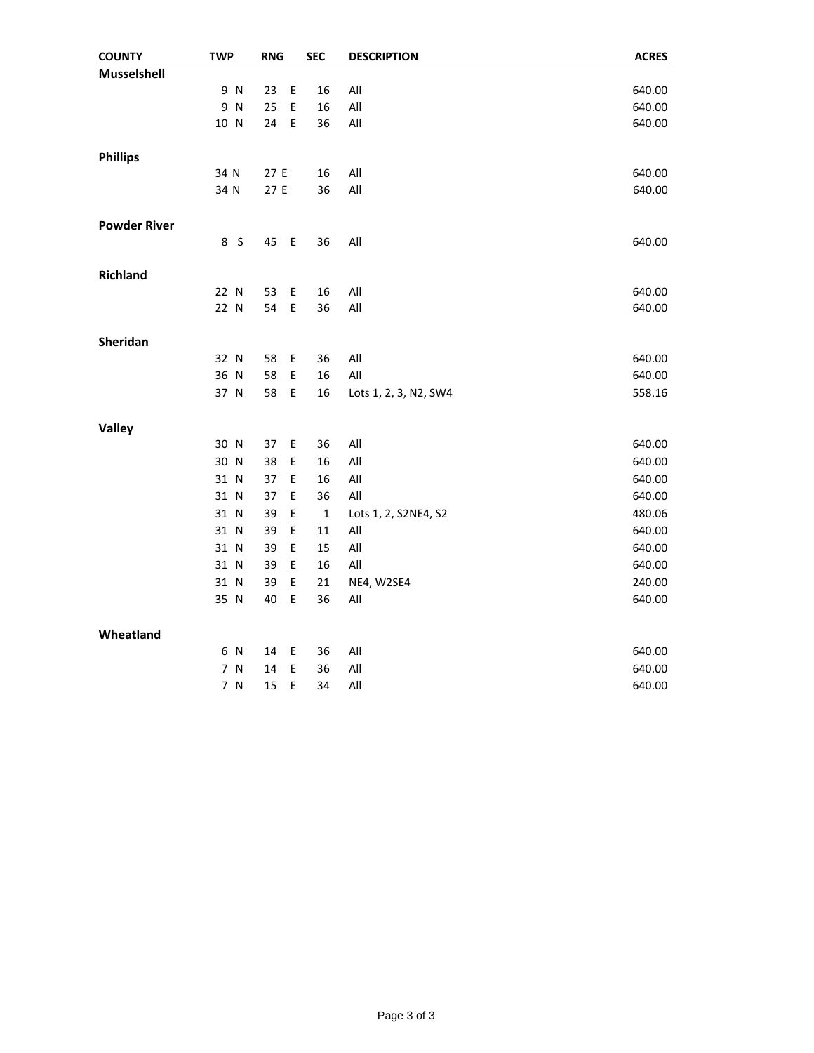| <b>COUNTY</b>       | <b>TWP</b>        | <b>RNG</b>        | <b>SEC</b>  | <b>DESCRIPTION</b>    | <b>ACRES</b> |
|---------------------|-------------------|-------------------|-------------|-----------------------|--------------|
| Musselshell         |                   |                   |             |                       |              |
|                     | 9 N               | $\mathsf E$<br>23 | 16          | All                   | 640.00       |
|                     | 9<br>$\mathsf{N}$ | E<br>25           | 16          | All                   | 640.00       |
|                     | 10 N              | E<br>24           | 36          | All                   | 640.00       |
|                     |                   |                   |             |                       |              |
| <b>Phillips</b>     |                   |                   |             |                       |              |
|                     | 34 N              | 27 E              | 16          | All                   | 640.00       |
|                     | 34 N              | 27 E              | 36          | All                   | 640.00       |
| <b>Powder River</b> |                   |                   |             |                       |              |
|                     | 8<br>S            | $\mathsf E$<br>45 | 36          | All                   | 640.00       |
| <b>Richland</b>     |                   |                   |             |                       |              |
|                     | 22 N              | E<br>53           | 16          | All                   | 640.00       |
|                     | 22 N              | E<br>54           | 36          | All                   | 640.00       |
|                     |                   |                   |             |                       |              |
| Sheridan            |                   |                   |             |                       |              |
|                     | 32 N              | E<br>58           | 36          | All                   | 640.00       |
|                     | 36 N              | 58<br>E           | 16          | All                   | 640.00       |
|                     | 37 N              | 58<br>E           | 16          | Lots 1, 2, 3, N2, SW4 | 558.16       |
| Valley              |                   |                   |             |                       |              |
|                     | 30 N              | 37<br>$\mathsf E$ | 36          | All                   | 640.00       |
|                     | 30 N              | 38<br>E           | 16          | All                   | 640.00       |
|                     | 31 N              | 37<br>Ε           | 16          | All                   | 640.00       |
|                     | 31 N              | Ε<br>37           | 36          | All                   | 640.00       |
|                     | 31 N              | E<br>39           | $\mathbf 1$ | Lots 1, 2, S2NE4, S2  | 480.06       |
|                     | 31 N              | 39<br>E           | 11          | All                   | 640.00       |
|                     | 31 N              | 39<br>E           | 15          | $\mathsf{All}$        | 640.00       |
|                     | 31 N              | 39<br>E           | 16          | All                   | 640.00       |
|                     | 31 N              | E<br>39           | 21          | NE4, W2SE4            | 240.00       |
|                     | 35 N              | 40<br>E           | 36          | All                   | 640.00       |
| Wheatland           |                   |                   |             |                       |              |
|                     | 6 N               | 14<br>Ε           | 36          | All                   | 640.00       |
|                     | 7 N               | E<br>14           | 36          | All                   | 640.00       |
|                     | 7 N               | E<br>15           | 34          | All                   | 640.00       |
|                     |                   |                   |             |                       |              |